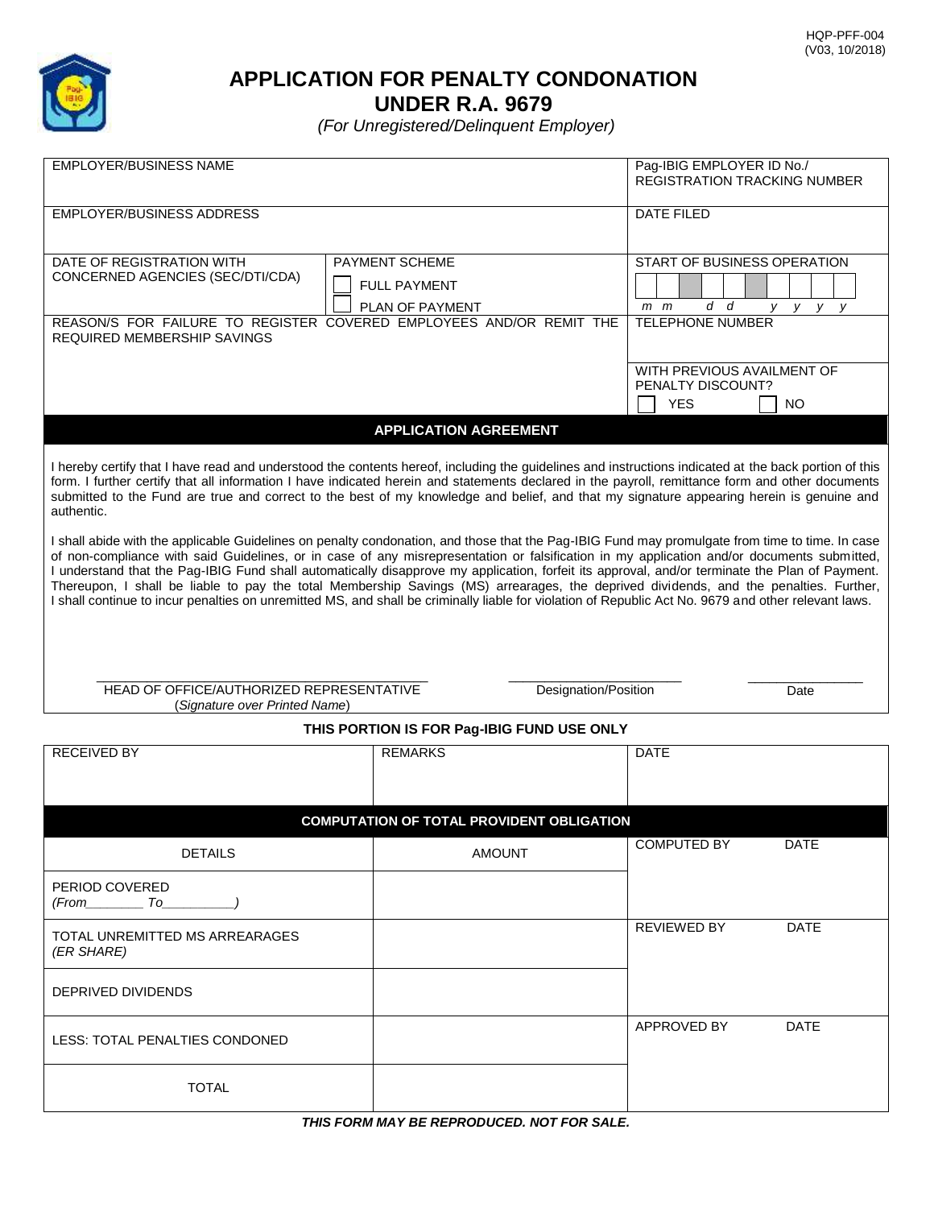

**APPLICATION FOR PENALTY CONDONATION**

**UNDER R.A. 9679** 

*(For Unregistered/Delinquent Employer)* 

| <b>EMPLOYER/BUSINESS NAME</b>                                                                                                                                                                                                                                                                                                                                                                                                                                                                                                                                                                                                                                                                                                                    |                 |                         | Pag-IBIG EMPLOYER ID No./<br>REGISTRATION TRACKING NUMBER |             |
|--------------------------------------------------------------------------------------------------------------------------------------------------------------------------------------------------------------------------------------------------------------------------------------------------------------------------------------------------------------------------------------------------------------------------------------------------------------------------------------------------------------------------------------------------------------------------------------------------------------------------------------------------------------------------------------------------------------------------------------------------|-----------------|-------------------------|-----------------------------------------------------------|-------------|
| <b>EMPLOYER/BUSINESS ADDRESS</b>                                                                                                                                                                                                                                                                                                                                                                                                                                                                                                                                                                                                                                                                                                                 |                 |                         | <b>DATE FILED</b>                                         |             |
| DATE OF REGISTRATION WITH                                                                                                                                                                                                                                                                                                                                                                                                                                                                                                                                                                                                                                                                                                                        | PAYMENT SCHEME  |                         | START OF BUSINESS OPERATION                               |             |
| CONCERNED AGENCIES (SEC/DTI/CDA)<br><b>FULL PAYMENT</b>                                                                                                                                                                                                                                                                                                                                                                                                                                                                                                                                                                                                                                                                                          |                 |                         |                                                           |             |
|                                                                                                                                                                                                                                                                                                                                                                                                                                                                                                                                                                                                                                                                                                                                                  | PLAN OF PAYMENT |                         | d d<br>$m$ $m$                                            | y y y<br>V. |
| REASON/S FOR FAILURE TO REGISTER COVERED EMPLOYEES AND/OR REMIT THE<br>REQUIRED MEMBERSHIP SAVINGS                                                                                                                                                                                                                                                                                                                                                                                                                                                                                                                                                                                                                                               |                 | <b>TELEPHONE NUMBER</b> |                                                           |             |
|                                                                                                                                                                                                                                                                                                                                                                                                                                                                                                                                                                                                                                                                                                                                                  |                 |                         | WITH PREVIOUS AVAILMENT OF                                |             |
|                                                                                                                                                                                                                                                                                                                                                                                                                                                                                                                                                                                                                                                                                                                                                  |                 |                         | PENALTY DISCOUNT?<br><b>YES</b>                           |             |
|                                                                                                                                                                                                                                                                                                                                                                                                                                                                                                                                                                                                                                                                                                                                                  |                 |                         |                                                           | NO.         |
| <b>APPLICATION AGREEMENT</b>                                                                                                                                                                                                                                                                                                                                                                                                                                                                                                                                                                                                                                                                                                                     |                 |                         |                                                           |             |
| I hereby certify that I have read and understood the contents hereof, including the guidelines and instructions indicated at the back portion of this<br>form. I further certify that all information I have indicated herein and statements declared in the payroll, remittance form and other documents<br>submitted to the Fund are true and correct to the best of my knowledge and belief, and that my signature appearing herein is genuine and<br>authentic.                                                                                                                                                                                                                                                                              |                 |                         |                                                           |             |
| I shall abide with the applicable Guidelines on penalty condonation, and those that the Pag-IBIG Fund may promulgate from time to time. In case<br>of non-compliance with said Guidelines, or in case of any misrepresentation or falsification in my application and/or documents submitted,<br>I understand that the Pag-IBIG Fund shall automatically disapprove my application, forfeit its approval, and/or terminate the Plan of Payment.<br>Thereupon, I shall be liable to pay the total Membership Savings (MS) arrearages, the deprived dividends, and the penalties. Further,<br>I shall continue to incur penalties on unremitted MS, and shall be criminally liable for violation of Republic Act No. 9679 and other relevant laws. |                 |                         |                                                           |             |
| HEAD OF OFFICE/AUTHORIZED REPRESENTATIVE<br>Designation/Position<br>(Signature over Printed Name)                                                                                                                                                                                                                                                                                                                                                                                                                                                                                                                                                                                                                                                |                 |                         | Date                                                      |             |
| THIS PORTION IS FOR Pag-IBIG FUND USE ONLY                                                                                                                                                                                                                                                                                                                                                                                                                                                                                                                                                                                                                                                                                                       |                 |                         |                                                           |             |
| <b>RECEIVED BY</b>                                                                                                                                                                                                                                                                                                                                                                                                                                                                                                                                                                                                                                                                                                                               | <b>REMARKS</b>  |                         | <b>DATE</b>                                               |             |
|                                                                                                                                                                                                                                                                                                                                                                                                                                                                                                                                                                                                                                                                                                                                                  |                 |                         |                                                           |             |
| <b>COMPUTATION OF TOTAL PROVIDENT OBLIGATION</b>                                                                                                                                                                                                                                                                                                                                                                                                                                                                                                                                                                                                                                                                                                 |                 |                         |                                                           |             |
| <b>DETAILS</b>                                                                                                                                                                                                                                                                                                                                                                                                                                                                                                                                                                                                                                                                                                                                   | <b>AMOUNT</b>   |                         | <b>COMPUTED BY</b>                                        | <b>DATE</b> |
| PERIOD COVERED<br>(From To                                                                                                                                                                                                                                                                                                                                                                                                                                                                                                                                                                                                                                                                                                                       |                 |                         |                                                           |             |
| TOTAL UNREMITTED MS ARREARAGES<br>(ER SHARE)                                                                                                                                                                                                                                                                                                                                                                                                                                                                                                                                                                                                                                                                                                     |                 |                         | <b>REVIEWED BY</b>                                        | <b>DATE</b> |
| DEPRIVED DIVIDENDS                                                                                                                                                                                                                                                                                                                                                                                                                                                                                                                                                                                                                                                                                                                               |                 |                         |                                                           |             |
| LESS: TOTAL PENALTIES CONDONED                                                                                                                                                                                                                                                                                                                                                                                                                                                                                                                                                                                                                                                                                                                   |                 |                         | APPROVED BY                                               | <b>DATE</b> |

TOTAL